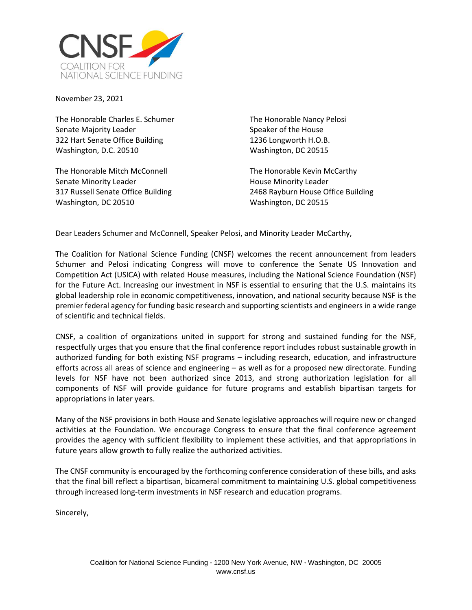

November 23, 2021

The Honorable Charles E. Schumer Senate Majority Leader 322 Hart Senate Office Building Washington, D.C. 20510

The Honorable Mitch McConnell Senate Minority Leader 317 Russell Senate Office Building Washington, DC 20510

The Honorable Nancy Pelosi Speaker of the House 1236 Longworth H.O.B. Washington, DC 20515

The Honorable Kevin McCarthy House Minority Leader 2468 Rayburn House Office Building Washington, DC 20515

Dear Leaders Schumer and McConnell, Speaker Pelosi, and Minority Leader McCarthy,

The Coalition for National Science Funding (CNSF) welcomes the recent announcement from leaders Schumer and Pelosi indicating Congress will move to conference the Senate US Innovation and Competition Act (USICA) with related House measures, including the National Science Foundation (NSF) for the Future Act. Increasing our investment in NSF is essential to ensuring that the U.S. maintains its global leadership role in economic competitiveness, innovation, and national security because NSF is the premier federal agency for funding basic research and supporting scientists and engineers in a wide range of scientific and technical fields.

CNSF, a coalition of organizations united in support for strong and sustained funding for the NSF, respectfully urges that you ensure that the final conference report includes robust sustainable growth in authorized funding for both existing NSF programs – including research, education, and infrastructure efforts across all areas of science and engineering – as well as for a proposed new directorate. Funding levels for NSF have not been authorized since 2013, and strong authorization legislation for all components of NSF will provide guidance for future programs and establish bipartisan targets for appropriations in later years.

Many of the NSF provisions in both House and Senate legislative approaches will require new or changed activities at the Foundation. We encourage Congress to ensure that the final conference agreement provides the agency with sufficient flexibility to implement these activities, and that appropriations in future years allow growth to fully realize the authorized activities.

The CNSF community is encouraged by the forthcoming conference consideration of these bills, and asks that the final bill reflect a bipartisan, bicameral commitment to maintaining U.S. global competitiveness through increased long-term investments in NSF research and education programs.

Sincerely,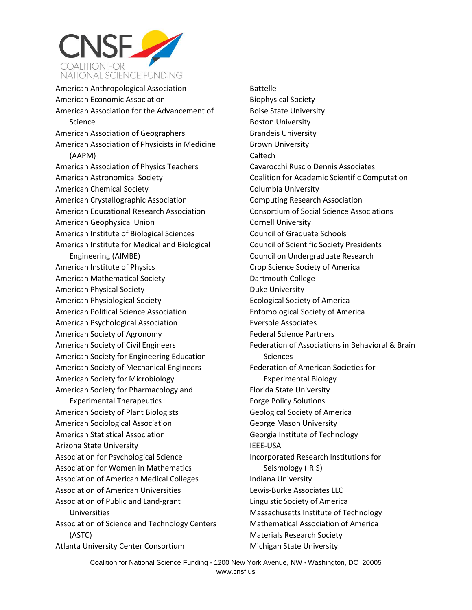

American Anthropological Association American Economic Association American Association for the Advancement of Science American Association of Geographers American Association of Physicists in Medicine (AAPM) American Association of Physics Teachers American Astronomical Society American Chemical Society American Crystallographic Association American Educational Research Association American Geophysical Union American Institute of Biological Sciences American Institute for Medical and Biological Engineering (AIMBE) American Institute of Physics American Mathematical Society American Physical Society American Physiological Society American Political Science Association American Psychological Association American Society of Agronomy American Society of Civil Engineers American Society for Engineering Education American Society of Mechanical Engineers American Society for Microbiology American Society for Pharmacology and Experimental Therapeutics American Society of Plant Biologists American Sociological Association American Statistical Association Arizona State University Association for Psychological Science Association for Women in Mathematics Association of American Medical Colleges Association of American Universities Association of Public and Land-grant Universities Association of Science and Technology Centers (ASTC) Atlanta University Center Consortium

Battelle Biophysical Society Boise State University Boston University Brandeis University Brown University Caltech Cavarocchi Ruscio Dennis Associates Coalition for Academic Scientific Computation Columbia University Computing Research Association Consortium of Social Science Associations Cornell University Council of Graduate Schools Council of Scientific Society Presidents Council on Undergraduate Research Crop Science Society of America Dartmouth College Duke University Ecological Society of America Entomological Society of America Eversole Associates Federal Science Partners Federation of Associations in Behavioral & Brain **Sciences** Federation of American Societies for Experimental Biology Florida State University Forge Policy Solutions Geological Society of America George Mason University Georgia Institute of Technology IEEE-USA Incorporated Research Institutions for Seismology (IRIS) Indiana University Lewis-Burke Associates LLC Linguistic Society of America Massachusetts Institute of Technology Mathematical Association of America Materials Research Society Michigan State University

Coalition for National Science Funding **·** 1200 New York Avenue, NW **·** Washington, DC 20005 www.cnsf.us